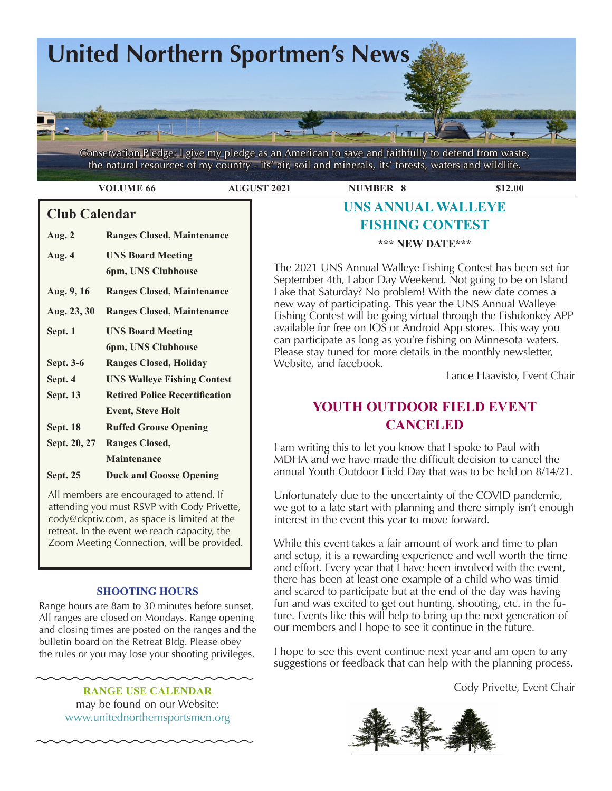

Conservation Pledge: I give my pledge as an American to save and faithfully to defend from waste, the natural resources of my country - its' air, soil and minerals, its' forests, waters and wildlife.

**VOLUME 66 6 4UGUST 2021 1200 NUMBER 8 512.00** 

## **Club Calendar**

**Aug. 2 Ranges Closed, Maintenance**

| Aug. 4           | <b>UNS Board Meeting</b><br>6pm, UNS Clubhouse |
|------------------|------------------------------------------------|
|                  |                                                |
| Aug. 9, 16       | <b>Ranges Closed, Maintenance</b>              |
| Aug. 23, 30      | <b>Ranges Closed, Maintenance</b>              |
| Sept. 1          | <b>UNS Board Meeting</b>                       |
|                  | 6pm, UNS Clubhouse                             |
| <b>Sept. 3-6</b> | <b>Ranges Closed, Holiday</b>                  |
| Sept. 4          | <b>UNS Walleye Fishing Contest</b>             |
| <b>Sept. 13</b>  | <b>Retired Police Recertification</b>          |
|                  | <b>Event, Steve Holt</b>                       |
| <b>Sept. 18</b>  | <b>Ruffed Grouse Opening</b>                   |
| Sept. 20, 27     | <b>Ranges Closed,</b>                          |
|                  | <b>Maintenance</b>                             |
| <b>Sept. 25</b>  | <b>Duck and Goosse Opening</b>                 |

 All members are encouraged to attend. If attending you must RSVP with Cody Privette, cody@ckpriv.com, as space is limited at the retreat. In the event we reach capacity, the Zoom Meeting Connection, will be provided.

#### **SHOOTING HOURS**

Range hours are 8am to 30 minutes before sunset. All ranges are closed on Mondays. Range opening and closing times are posted on the ranges and the bulletin board on the Retreat Bldg. Please obey the rules or you may lose your shooting privileges.

#### **RANGE USE CALENDAR**

may be found on our Website: [www.unitednorthernsportsmen.org](http://www.unitednorthernsportsmen.org)

# **UNS ANNUAL WALLEYE FISHING CONTEST**

#### **\*\*\* NEW DATE\*\*\***

The 2021 UNS Annual Walleye Fishing Contest has been set for September 4th, Labor Day Weekend. Not going to be on Island Lake that Saturday? No problem! With the new date comes a new way of participating. This year the UNS Annual Walleye Fishing Contest will be going virtual through the Fishdonkey APP available for free on IOS or Android App stores. This way you can participate as long as you're fishing on Minnesota waters. Please stay tuned for more details in the monthly newsletter, Website, and facebook.

Lance Haavisto, Event Chair

# **YOUTH OUTDOOR FIELD EVENT CANCELED**

I am writing this to let you know that I spoke to Paul with MDHA and we have made the difficult decision to cancel the annual Youth Outdoor Field Day that was to be held on 8/14/21.

Unfortunately due to the uncertainty of the COVID pandemic, we got to a late start with planning and there simply isn't enough interest in the event this year to move forward.

While this event takes a fair amount of work and time to plan and setup, it is a rewarding experience and well worth the time and effort. Every year that I have been involved with the event, there has been at least one example of a child who was timid and scared to participate but at the end of the day was having fun and was excited to get out hunting, shooting, etc. in the future. Events like this will help to bring up the next generation of our members and I hope to see it continue in the future.

I hope to see this event continue next year and am open to any suggestions or feedback that can help with the planning process.

Cody Privette, Event Chair

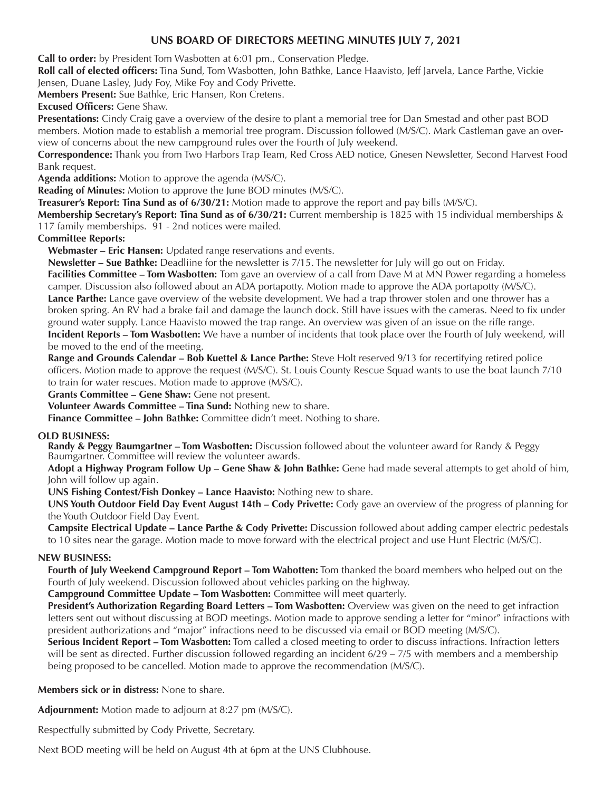#### **UNS BOARD OF DIRECTORS MEETING MINUTES JULY 7, 2021**

**Call to order:** by President Tom Wasbotten at 6:01 pm., Conservation Pledge.

**Roll call of elected officers:** Tina Sund, Tom Wasbotten, John Bathke, Lance Haavisto, Jeff Jarvela, Lance Parthe, Vickie Jensen, Duane Lasley, Judy Foy, Mike Foy and Cody Privette.

**Members Present:** Sue Bathke, Eric Hansen, Ron Cretens.

**Excused Officers:** Gene Shaw.

**Presentations:** Cindy Craig gave a overview of the desire to plant a memorial tree for Dan Smestad and other past BOD members. Motion made to establish a memorial tree program. Discussion followed (M/S/C). Mark Castleman gave an overview of concerns about the new campground rules over the Fourth of July weekend.

**Correspondence:** Thank you from Two Harbors Trap Team, Red Cross AED notice, Gnesen Newsletter, Second Harvest Food Bank request.

**Agenda additions:** Motion to approve the agenda (M/S/C).

**Reading of Minutes:** Motion to approve the June BOD minutes (M/S/C).

**Treasurer's Report: Tina Sund as of 6/30/21:** Motion made to approve the report and pay bills (M/S/C).

**Membership Secretary's Report: Tina Sund as of 6/30/21:** Current membership is 1825 with 15 individual memberships & 117 family memberships. 91 - 2nd notices were mailed.

**Committee Reports:**

**Webmaster – Eric Hansen:** Updated range reservations and events.

**Newsletter – Sue Bathke:** Deadliine for the newsletter is 7/15. The newsletter for July will go out on Friday.

**Facilities Committee – Tom Wasbotten:** Tom gave an overview of a call from Dave M at MN Power regarding a homeless camper. Discussion also followed about an ADA portapotty. Motion made to approve the ADA portapotty (M/S/C). **Lance Parthe:** Lance gave overview of the website development. We had a trap thrower stolen and one thrower has a

broken spring. An RV had a brake fail and damage the launch dock. Still have issues with the cameras. Need to fix under ground water supply. Lance Haavisto mowed the trap range. An overview was given of an issue on the rifle range.

**Incident Reports – Tom Wasbotten:** We have a number of incidents that took place over the Fourth of July weekend, will be moved to the end of the meeting.

**Range and Grounds Calendar – Bob Kuettel & Lance Parthe:** Steve Holt reserved 9/13 for recertifying retired police officers. Motion made to approve the request (M/S/C). St. Louis County Rescue Squad wants to use the boat launch 7/10 to train for water rescues. Motion made to approve (M/S/C).

Grants Committee - Gene Shaw: Gene not present.

**Volunteer Awards Committee – Tina Sund:** Nothing new to share.

**Finance Committee – John Bathke:** Committee didn't meet. Nothing to share.

#### **OLD BUSINESS:**

**Randy & Peggy Baumgartner – Tom Wasbotten:** Discussion followed about the volunteer award for Randy & Peggy Baumgartner. Committee will review the volunteer awards.

**Adopt a Highway Program Follow Up – Gene Shaw & John Bathke:** Gene had made several attempts to get ahold of him, John will follow up again.

**UNS Fishing Contest/Fish Donkey – Lance Haavisto:** Nothing new to share.

**UNS Youth Outdoor Field Day Event August 14th – Cody Privette:** Cody gave an overview of the progress of planning for the Youth Outdoor Field Day Event.

**Campsite Electrical Update – Lance Parthe & Cody Privette:** Discussion followed about adding camper electric pedestals to 10 sites near the garage. Motion made to move forward with the electrical project and use Hunt Electric (M/S/C).

#### **NEW BUSINESS:**

**Fourth of July Weekend Campground Report – Tom Wabotten:** Tom thanked the board members who helped out on the Fourth of July weekend. Discussion followed about vehicles parking on the highway.

**Campground Committee Update – Tom Wasbotten:** Committee will meet quarterly.

**President's Authorization Regarding Board Letters – Tom Wasbotten:** Overview was given on the need to get infraction letters sent out without discussing at BOD meetings. Motion made to approve sending a letter for "minor" infractions with president authorizations and "major" infractions need to be discussed via email or BOD meeting (M/S/C).

**Serious Incident Report – Tom Wasbotten:** Tom called a closed meeting to order to discuss infractions. Infraction letters will be sent as directed. Further discussion followed regarding an incident 6/29 – 7/5 with members and a membership being proposed to be cancelled. Motion made to approve the recommendation (M/S/C).

**Members sick or in distress:** None to share.

**Adjournment:** Motion made to adjourn at 8:27 pm (M/S/C).

Respectfully submitted by Cody Privette, Secretary.

Next BOD meeting will be held on August 4th at 6pm at the UNS Clubhouse.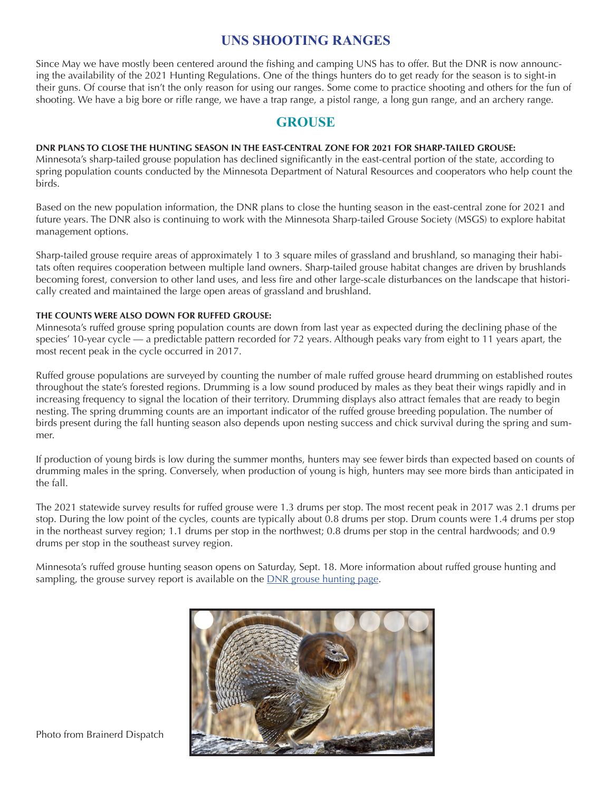# **UNS SHOOTING RANGES**

Since May we have mostly been centered around the fishing and camping UNS has to offer. But the DNR is now announcing the availability of the 2021 Hunting Regulations. One of the things hunters do to get ready for the season is to sight-in their guns. Of course that isn't the only reason for using our ranges. Some come to practice shooting and others for the fun of shooting. We have a big bore or rifle range, we have a trap range, a pistol range, a long gun range, and an archery range.

# **GROUSE**

#### **DNR PLANS TO CLOSE THE HUNTING SEASON IN THE EAST-CENTRAL ZONE FOR 2021 FOR SHARP-TAILED GROUSE:**

Minnesota's sharp-tailed grouse population has declined significantly in the east-central portion of the state, according to spring population counts conducted by the Minnesota Department of Natural Resources and cooperators who help count the birds.

Based on the new population information, the DNR plans to close the hunting season in the east-central zone for 2021 and future years. The DNR also is continuing to work with the Minnesota Sharp-tailed Grouse Society (MSGS) to explore habitat management options.

Sharp-tailed grouse require areas of approximately 1 to 3 square miles of grassland and brushland, so managing their habitats often requires cooperation between multiple land owners. Sharp-tailed grouse habitat changes are driven by brushlands becoming forest, conversion to other land uses, and less fire and other large-scale disturbances on the landscape that historically created and maintained the large open areas of grassland and brushland.

#### **THE COUNTS WERE ALSO DOWN FOR RUFFED GROUSE:**

Minnesota's ruffed grouse spring population counts are down from last year as expected during the declining phase of the species' 10-year cycle — a predictable pattern recorded for 72 years. Although peaks vary from eight to 11 years apart, the most recent peak in the cycle occurred in 2017.

Ruffed grouse populations are surveyed by counting the number of male ruffed grouse heard drumming on established routes throughout the state's forested regions. Drumming is a low sound produced by males as they beat their wings rapidly and in increasing frequency to signal the location of their territory. Drumming displays also attract females that are ready to begin nesting. The spring drumming counts are an important indicator of the ruffed grouse breeding population. The number of birds present during the fall hunting season also depends upon nesting success and chick survival during the spring and summer.

If production of young birds is low during the summer months, hunters may see fewer birds than expected based on counts of drumming males in the spring. Conversely, when production of young is high, hunters may see more birds than anticipated in the fall.

The 2021 statewide survey results for ruffed grouse were 1.3 drums per stop. The most recent peak in 2017 was 2.1 drums per stop. During the low point of the cycles, counts are typically about 0.8 drums per stop. Drum counts were 1.4 drums per stop in the northeast survey region; 1.1 drums per stop in the northwest; 0.8 drums per stop in the central hardwoods; and 0.9 drums per stop in the southeast survey region.

Minnesota's ruffed grouse hunting season opens on Saturday, Sept. 18. More information about ruffed grouse hunting and sampling, the grouse survey report is available on the [DNR grouse hunting page.](https://www.dnr.state.mn.us/hunting/grouse/index.html)



Photo from Brainerd Dispatch